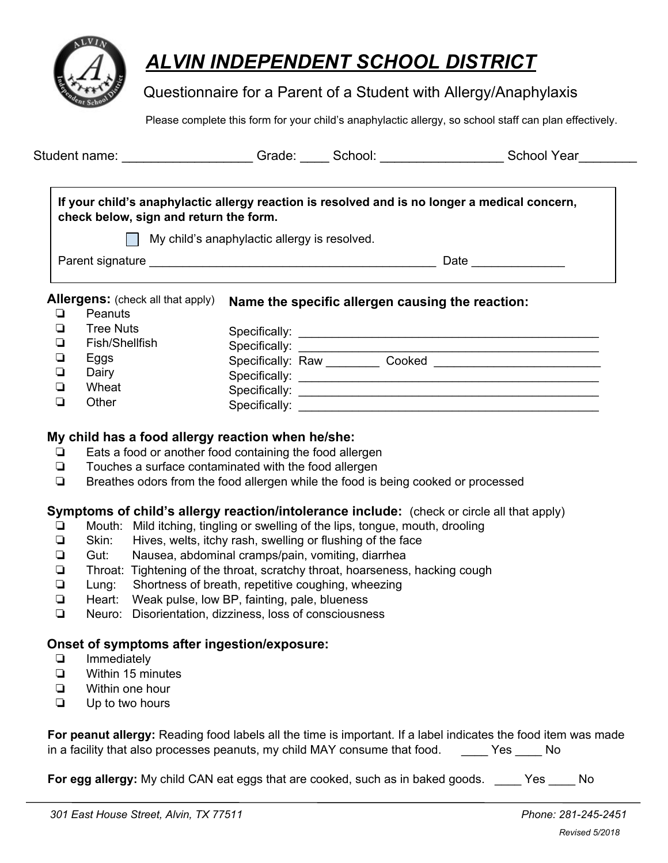

# *ALVIN INDEPENDENT SCHOOL DISTRICT*

## Questionnaire for a Parent of a Student with Allergy/Anaphylaxis

Please complete this form for your child's anaphylactic allergy, so school staff can plan effectively.

|                                                                 | If your child's anaphylactic allergy reaction is resolved and is no longer a medical concern,<br>check below, sign and return the form. |                                                  |  |
|-----------------------------------------------------------------|-----------------------------------------------------------------------------------------------------------------------------------------|--------------------------------------------------|--|
|                                                                 | My child's anaphylactic allergy is resolved.                                                                                            |                                                  |  |
|                                                                 |                                                                                                                                         | Date ________________                            |  |
| Peanuts<br>❏                                                    |                                                                                                                                         | Name the specific allergen causing the reaction: |  |
| <b>Tree Nuts</b><br>❏                                           |                                                                                                                                         |                                                  |  |
| <b>Allergens:</b> (check all that apply)<br>Fish/Shellfish<br>❏ |                                                                                                                                         |                                                  |  |
| ❏<br>Eggs                                                       |                                                                                                                                         |                                                  |  |
| ❏<br>Dairy                                                      |                                                                                                                                         |                                                  |  |
| ◻<br>Wheat                                                      |                                                                                                                                         |                                                  |  |

## **My child has a food allergy reaction when he/she:**

- ❏ Eats a food or another food containing the food allergen
- ❏ Touches a surface contaminated with the food allergen
- ❏ Breathes odors from the food allergen while the food is being cooked or processed

## **Symptoms of child's allergy reaction/intolerance include:** (check or circle all that apply)

- ❏ Mouth: Mild itching, tingling or swelling of the lips, tongue, mouth, drooling
- ❏ Skin: Hives, welts, itchy rash, swelling or flushing of the face
- ❏ Gut: Nausea, abdominal cramps/pain, vomiting, diarrhea
- ❏ Throat: Tightening of the throat, scratchy throat, hoarseness, hacking cough
- ❏ Lung: Shortness of breath, repetitive coughing, wheezing
- ❏ Heart: Weak pulse, low BP, fainting, pale, blueness
- ❏ Neuro: Disorientation, dizziness, loss of consciousness

## **Onset of symptoms after ingestion/exposure:**

- ❏ Immediately
- ❏ Within 15 minutes
- ❏ Within one hour
- ❏ Up to two hours

| For peanut allergy: Reading food labels all the time is important. If a label indicates the food item was made |  |      |     |
|----------------------------------------------------------------------------------------------------------------|--|------|-----|
| in a facility that also processes peanuts, my child MAY consume that food.                                     |  | Yes. | No. |

**For egg allergy:** My child CAN eat eggs that are cooked, such as in baked goods. Yes No